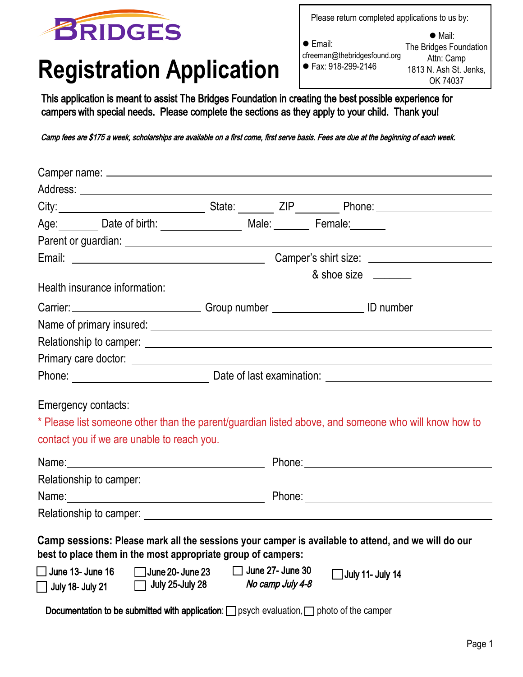

## **Registration** A**pplication**

| Please return completed applications to us by:                          |                                                                                               |  |
|-------------------------------------------------------------------------|-----------------------------------------------------------------------------------------------|--|
| $\bullet$ Email:<br>cfreeman@thebridgesfound.org<br>● Fax: 918-299-2146 | $\bullet$ Mail:<br>The Bridges Foundation<br>Attn: Camp<br>1813 N. Ash St. Jenks,<br>OK 74037 |  |

This application is meant to assist The Bridges Foundation in creating the best possible experience for campers with special needs. Please complete the sections as they apply to your child. Thank you!

Camp fees are \$175 a week, scholarships are available on a first come, first serve basis. Fees are due at the beginning of each week.

|                                                    |                                                                                                     |  |                                      | & shoe size                                                                                                                                                                                                                    |
|----------------------------------------------------|-----------------------------------------------------------------------------------------------------|--|--------------------------------------|--------------------------------------------------------------------------------------------------------------------------------------------------------------------------------------------------------------------------------|
|                                                    | Health insurance information:                                                                       |  |                                      |                                                                                                                                                                                                                                |
|                                                    |                                                                                                     |  |                                      | Carrier: Carrier: Carrier: Carrier: Carrier: Carrier: Carrier: Carrier: Carrier: Carrier: Carrier: Carrier: Carrier: Carrier: Carrier: Carrier: Carrier: Carrier: Carrier: Carrier: Carrier: Carrier: Carrier: Carrier: Carrie |
|                                                    |                                                                                                     |  |                                      |                                                                                                                                                                                                                                |
|                                                    |                                                                                                     |  |                                      |                                                                                                                                                                                                                                |
|                                                    |                                                                                                     |  |                                      |                                                                                                                                                                                                                                |
|                                                    |                                                                                                     |  |                                      |                                                                                                                                                                                                                                |
|                                                    | Emergency contacts:<br>contact you if we are unable to reach you.                                   |  |                                      | * Please list someone other than the parent/guardian listed above, and someone who will know how to                                                                                                                            |
|                                                    |                                                                                                     |  |                                      |                                                                                                                                                                                                                                |
|                                                    |                                                                                                     |  |                                      |                                                                                                                                                                                                                                |
|                                                    |                                                                                                     |  |                                      |                                                                                                                                                                                                                                |
|                                                    |                                                                                                     |  |                                      |                                                                                                                                                                                                                                |
|                                                    | best to place them in the most appropriate group of campers:                                        |  |                                      | Camp sessions: Please mark all the sessions your camper is available to attend, and we will do our                                                                                                                             |
| $\Box$ June 13- June 16<br>$\Box$ July 18- July 21 | June 20- June 23<br>July 25-July 28                                                                 |  | June 27- June 30<br>No camp July 4-8 | $\Box$ July 11- July 14                                                                                                                                                                                                        |
|                                                    | Documentation to be submitted with application: $\Box$ psych evaluation, $\Box$ photo of the camper |  |                                      |                                                                                                                                                                                                                                |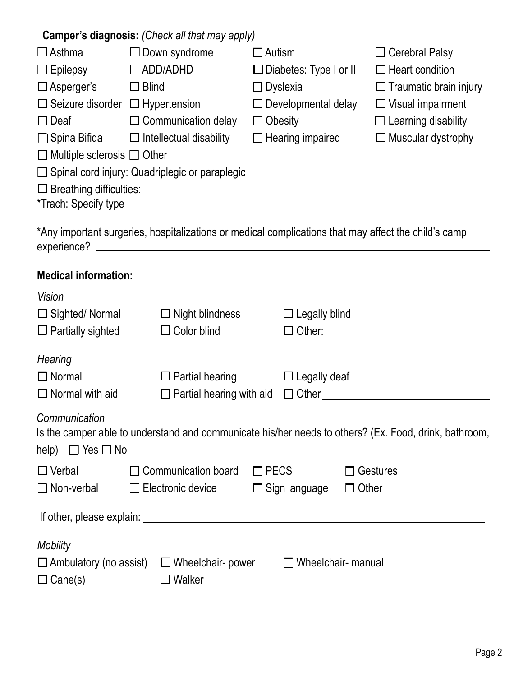| Camper's diagnosis: (Check all that may apply) |                                                       |                               |                               |  |  |
|------------------------------------------------|-------------------------------------------------------|-------------------------------|-------------------------------|--|--|
| $\Box$ Asthma                                  | Down syndrome                                         | $\Box$ Autism                 | $\Box$ Cerebral Palsy         |  |  |
| $\Box$ Epilepsy                                | $\Box$ ADD/ADHD                                       | $\Box$ Diabetes: Type I or II | $\Box$ Heart condition        |  |  |
| $\Box$ Asperger's                              | $\square$ Blind                                       | $\Box$ Dyslexia               | $\Box$ Traumatic brain injury |  |  |
| $\Box$ Seizure disorder                        | $\Box$ Hypertension                                   | $\Box$ Developmental delay    | $\Box$ Visual impairment      |  |  |
| $\Box$ Deaf                                    | $\Box$ Communication delay                            | $\Box$ Obesity                | $\Box$ Learning disability    |  |  |
| $\Box$ Spina Bifida                            | $\Box$ Intellectual disability                        | $\Box$ Hearing impaired       | $\Box$ Muscular dystrophy     |  |  |
| $\Box$ Multiple sclerosis $\Box$ Other         |                                                       |                               |                               |  |  |
|                                                | $\Box$ Spinal cord injury: Quadriplegic or paraplegic |                               |                               |  |  |
| $\Box$ Breathing difficulties:                 |                                                       |                               |                               |  |  |
| *Trach: Specify type                           |                                                       |                               |                               |  |  |

\*Any important surgeries, hospitalizations or medical complications that may affect the child's camp experience?

| <b>Medical information:</b>                                                                                                                                                                                                   |                                 |                      |                                                                                                       |  |
|-------------------------------------------------------------------------------------------------------------------------------------------------------------------------------------------------------------------------------|---------------------------------|----------------------|-------------------------------------------------------------------------------------------------------|--|
| <b>Vision</b>                                                                                                                                                                                                                 |                                 |                      |                                                                                                       |  |
| $\Box$ Sighted/ Normal                                                                                                                                                                                                        | $\Box$ Night blindness          | $\Box$ Legally blind |                                                                                                       |  |
| $\Box$ Partially sighted                                                                                                                                                                                                      | $\Box$ Color blind              |                      | □ Other: <u>___________________________</u>                                                           |  |
| Hearing                                                                                                                                                                                                                       |                                 |                      |                                                                                                       |  |
| $\Box$ Normal                                                                                                                                                                                                                 | $\Box$ Partial hearing          | $\Box$ Legally deaf  |                                                                                                       |  |
| $\Box$ Normal with aid                                                                                                                                                                                                        | $\Box$ Partial hearing with aid |                      |                                                                                                       |  |
| Communication<br>help) $\Box$ Yes $\Box$ No                                                                                                                                                                                   |                                 |                      | Is the camper able to understand and communicate his/her needs to others? (Ex. Food, drink, bathroom, |  |
| $\Box$ Verbal                                                                                                                                                                                                                 | $\Box$ Communication board      | $\square$ PECS       | $\Box$ Gestures                                                                                       |  |
| $\Box$ Non-verbal                                                                                                                                                                                                             | $\Box$ Electronic device        | $\Box$ Sign language | $\Box$ Other                                                                                          |  |
| If other, please explain: example and a series of the series of the series of the series of the series of the series of the series of the series of the series of the series of the series of the series of the series of the |                                 |                      |                                                                                                       |  |
| <b>Mobility</b>                                                                                                                                                                                                               |                                 |                      |                                                                                                       |  |
| $\Box$ Ambulatory (no assist)                                                                                                                                                                                                 | $\Box$ Wheelchair- power        |                      | Wheelchair- manual                                                                                    |  |
| $\Box$ Cane(s)                                                                                                                                                                                                                | $\Box$ Walker                   |                      |                                                                                                       |  |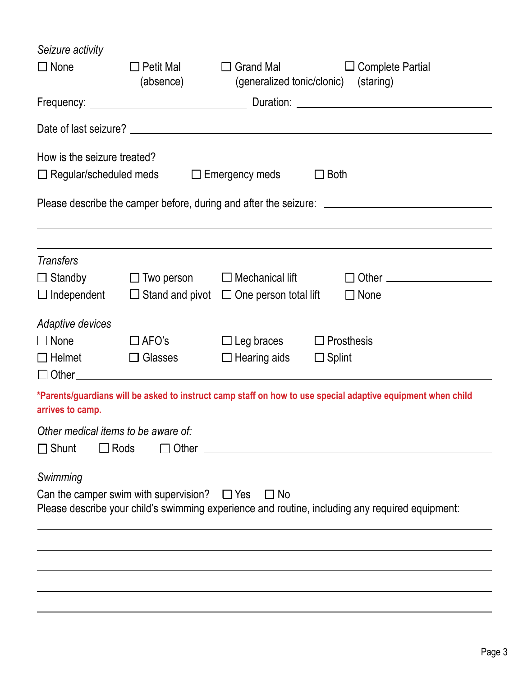| Seizure activity                                                      |                                                  |                                                                                                   |                                                                                                             |  |  |  |
|-----------------------------------------------------------------------|--------------------------------------------------|---------------------------------------------------------------------------------------------------|-------------------------------------------------------------------------------------------------------------|--|--|--|
| $\Box$ None                                                           | $\Box$ Petit Mal<br>(absence)                    | <b>Grand Mal</b><br><b>Complete Partial</b><br>$\perp$<br>(staring)<br>(generalized tonic/clonic) |                                                                                                             |  |  |  |
|                                                                       |                                                  |                                                                                                   |                                                                                                             |  |  |  |
|                                                                       |                                                  |                                                                                                   |                                                                                                             |  |  |  |
| How is the seizure treated?                                           |                                                  |                                                                                                   |                                                                                                             |  |  |  |
| $\Box$ Regular/scheduled meds                                         |                                                  | $\Box$ Emergency meds                                                                             | $\Box$ Both                                                                                                 |  |  |  |
|                                                                       |                                                  |                                                                                                   | Please describe the camper before, during and after the seizure: ___________________________________        |  |  |  |
| <b>Transfers</b>                                                      |                                                  |                                                                                                   |                                                                                                             |  |  |  |
| $\Box$ Standby                                                        |                                                  | $\Box$ Two person $\Box$ Mechanical lift                                                          | $\Box$ Other $\_\_$                                                                                         |  |  |  |
| $\Box$ Independent                                                    |                                                  | $\Box$ Stand and pivot $\Box$ One person total lift                                               | $\Box$ None                                                                                                 |  |  |  |
| Adaptive devices                                                      |                                                  |                                                                                                   |                                                                                                             |  |  |  |
| $\Box$ None                                                           | $\Box$ AFO's                                     | $\Box$ Leg braces                                                                                 | $\Box$ Prosthesis                                                                                           |  |  |  |
| $\Box$ Helmet                                                         | $\Box$ Glasses                                   | $\Box$ Hearing aids                                                                               | $\Box$ Splint                                                                                               |  |  |  |
| arrives to camp.                                                      |                                                  |                                                                                                   | *Parents/guardians will be asked to instruct camp staff on how to use special adaptive equipment when child |  |  |  |
| Other medical items to be aware of:<br>$\Box$ Rods<br>$\square$ Shunt |                                                  |                                                                                                   |                                                                                                             |  |  |  |
| Swimming                                                              | Can the camper swim with supervision? $\Box$ Yes | $\Box$ No                                                                                         | Please describe your child's swimming experience and routine, including any required equipment:             |  |  |  |
|                                                                       |                                                  |                                                                                                   |                                                                                                             |  |  |  |
|                                                                       |                                                  |                                                                                                   |                                                                                                             |  |  |  |
|                                                                       |                                                  |                                                                                                   |                                                                                                             |  |  |  |
|                                                                       |                                                  |                                                                                                   |                                                                                                             |  |  |  |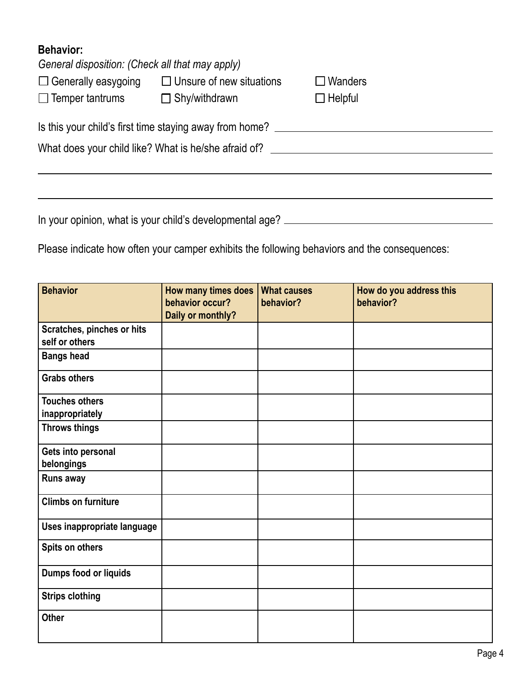## **Behavior:**

| General disposition: (Check all that may apply)      |                                                         |                |  |  |
|------------------------------------------------------|---------------------------------------------------------|----------------|--|--|
| $\Box$ Generally easygoing                           | $\Box$ Unsure of new situations                         | $\Box$ Wanders |  |  |
| $\Box$ Temper tantrums<br>$\Box$ Shy/withdrawn       |                                                         | $\Box$ Helpful |  |  |
|                                                      | Is this your child's first time staying away from home? |                |  |  |
| What does your child like? What is he/she afraid of? |                                                         |                |  |  |
|                                                      |                                                         |                |  |  |
|                                                      |                                                         |                |  |  |

In your opinion, what is your child's developmental age?

Please indicate how often your camper exhibits the following behaviors and the consequences:

| <b>Behavior</b>                              | How many times does<br>behavior occur?<br>Daily or monthly? | <b>What causes</b><br>behavior? | How do you address this<br>behavior? |
|----------------------------------------------|-------------------------------------------------------------|---------------------------------|--------------------------------------|
| Scratches, pinches or hits<br>self or others |                                                             |                                 |                                      |
| <b>Bangs head</b>                            |                                                             |                                 |                                      |
| <b>Grabs others</b>                          |                                                             |                                 |                                      |
| <b>Touches others</b><br>inappropriately     |                                                             |                                 |                                      |
| <b>Throws things</b>                         |                                                             |                                 |                                      |
| Gets into personal<br>belongings             |                                                             |                                 |                                      |
| Runs away                                    |                                                             |                                 |                                      |
| <b>Climbs on furniture</b>                   |                                                             |                                 |                                      |
| Uses inappropriate language                  |                                                             |                                 |                                      |
| Spits on others                              |                                                             |                                 |                                      |
| Dumps food or liquids                        |                                                             |                                 |                                      |
| <b>Strips clothing</b>                       |                                                             |                                 |                                      |
| <b>Other</b>                                 |                                                             |                                 |                                      |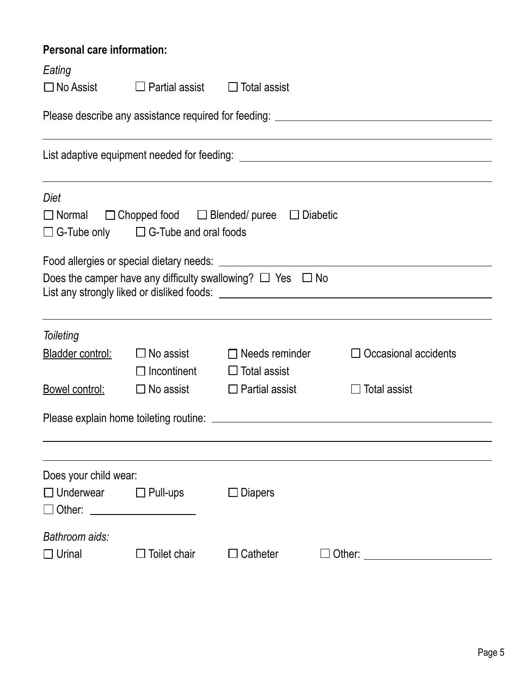## **Personal care information:**

| Eating                                                                            |                                                 |                                                                         |                             |  |  |  |  |
|-----------------------------------------------------------------------------------|-------------------------------------------------|-------------------------------------------------------------------------|-----------------------------|--|--|--|--|
| $\Box$ No Assist<br>Partial assist<br>$\Box$ Total assist                         |                                                 |                                                                         |                             |  |  |  |  |
| Please describe any assistance required for feeding: ____________________________ |                                                 |                                                                         |                             |  |  |  |  |
|                                                                                   |                                                 |                                                                         |                             |  |  |  |  |
| Diet                                                                              | $\Box$ G-Tube only $\Box$ G-Tube and oral foods | $\Box$ Normal $\Box$ Chopped food $\Box$ Blended/ puree $\Box$ Diabetic |                             |  |  |  |  |
|                                                                                   |                                                 |                                                                         |                             |  |  |  |  |
|                                                                                   |                                                 | Does the camper have any difficulty swallowing? $\Box$ Yes $\Box$ No    |                             |  |  |  |  |
| Toileting                                                                         |                                                 |                                                                         |                             |  |  |  |  |
| Bladder control:                                                                  | $\square$ No assist<br>$\Box$ Incontinent       | $\Box$ Needs reminder<br>$\Box$ Total assist                            | $\Box$ Occasional accidents |  |  |  |  |
| Bowel control:                                                                    | $\square$ No assist                             | $\Box$ Partial assist                                                   | <b>Total assist</b>         |  |  |  |  |
|                                                                                   |                                                 |                                                                         |                             |  |  |  |  |
|                                                                                   |                                                 |                                                                         |                             |  |  |  |  |
| Does your child wear:                                                             |                                                 |                                                                         |                             |  |  |  |  |
| $\Box$ Underwear<br>□ Other: ____________________                                 | $\Box$ Pull-ups                                 | $\Box$ Diapers                                                          |                             |  |  |  |  |
| Bathroom aids:<br>$\Box$ Urinal                                                   | Toilet chair                                    | $\Box$ Catheter                                                         |                             |  |  |  |  |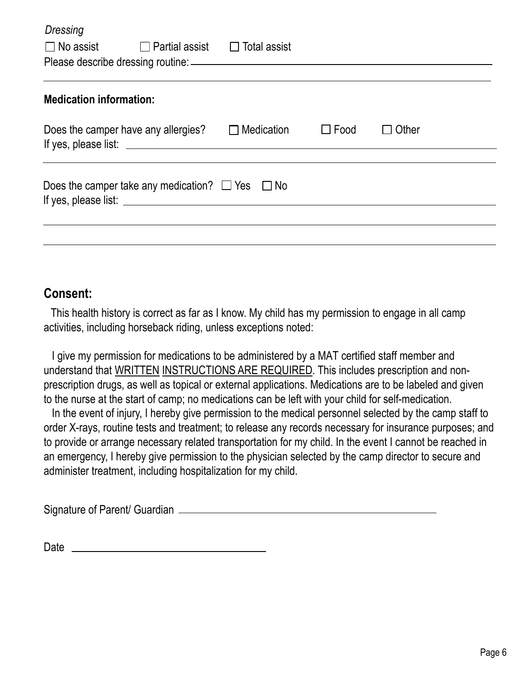| <b>Dressing</b>                                           |                                     |                                    |             |       |  |
|-----------------------------------------------------------|-------------------------------------|------------------------------------|-------------|-------|--|
| $\Box$ No assist $\Box$                                   |                                     | Partial assist $\Box$ Total assist |             |       |  |
|                                                           |                                     |                                    |             |       |  |
| <b>Medication information:</b>                            |                                     |                                    |             |       |  |
|                                                           | Does the camper have any allergies? | Medication                         | $\Box$ Food | Other |  |
| Does the camper take any medication? $\Box$ Yes $\Box$ No |                                     |                                    |             |       |  |
|                                                           |                                     |                                    |             |       |  |
|                                                           |                                     |                                    |             |       |  |

## **Consent:**

 This health history is correct as far as I know. My child has my permission to engage in all camp activities, including horseback riding, unless exceptions noted:

 I give my permission for medications to be administered by a MAT certified staff member and understand that WRITTEN INSTRUCTIONS ARE REQUIRED. This includes prescription and nonprescription drugs, as well as topical or external applications. Medications are to be labeled and given to the nurse at the start of camp; no medications can be left with your child for self-medication.

 In the event of injury, I hereby give permission to the medical personnel selected by the camp staff to order X-rays, routine tests and treatment; to release any records necessary for insurance purposes; and to provide or arrange necessary related transportation for my child. In the event I cannot be reached in an emergency, I hereby give permission to the physician selected by the camp director to secure and administer treatment, including hospitalization for my child.

Signature of Parent/ Guardian